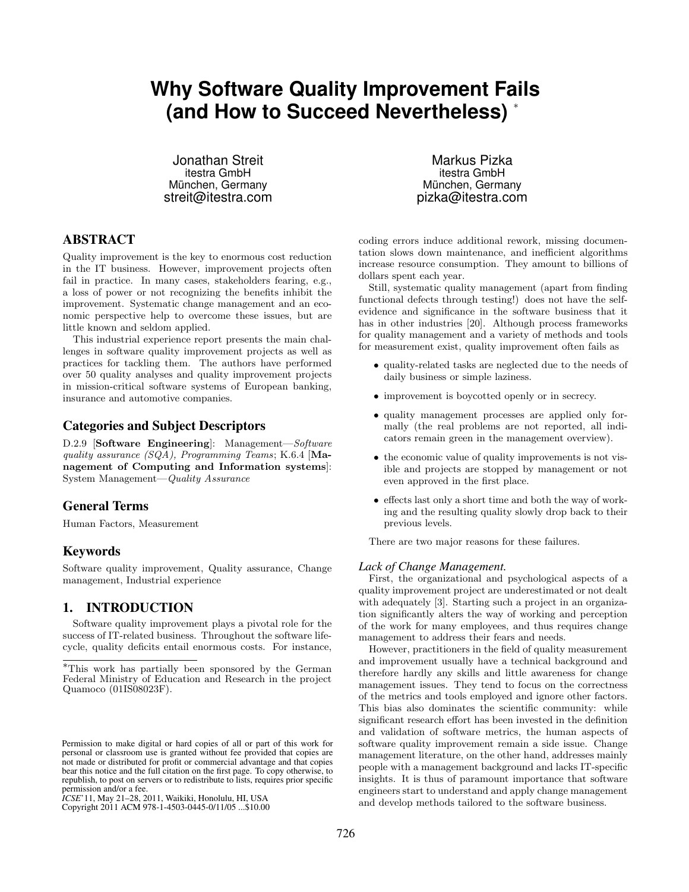# **Why Software Quality Improvement Fails (and How to Succeed Nevertheless)** <sup>∗</sup>

Jonathan Streit itestra GmbH München, Germany streit@itestra.com

ABSTRACT

Quality improvement is the key to enormous cost reduction in the IT business. However, improvement projects often fail in practice. In many cases, stakeholders fearing, e.g., a loss of power or not recognizing the benefits inhibit the improvement. Systematic change management and an economic perspective help to overcome these issues, but are little known and seldom applied.

This industrial experience report presents the main challenges in software quality improvement projects as well as practices for tackling them. The authors have performed over 50 quality analyses and quality improvement projects in mission-critical software systems of European banking, insurance and automotive companies.

# Categories and Subject Descriptors

D.2.9 [Software Engineering]: Management—Software quality assurance  $(SQA)$ , Programming Teams; K.6.4 [Management of Computing and Information systems]: System Management—Quality Assurance

# General Terms

Human Factors, Measurement

# Keywords

Software quality improvement, Quality assurance, Change management, Industrial experience

# 1. INTRODUCTION

Software quality improvement plays a pivotal role for the success of IT-related business. Throughout the software lifecycle, quality deficits entail enormous costs. For instance,

Copyright 2011 ACM 978-1-4503-0445-0/11/05 ...\$10.00. Copyright 2011 ACM 978-1-4503-0445-0/11/05 ...\$10.00

Markus Pizka itestra GmbH München, Germany pizka@itestra.com

coding errors induce additional rework, missing documentation slows down maintenance, and inefficient algorithms increase resource consumption. They amount to billions of dollars spent each year.

Still, systematic quality management (apart from finding functional defects through testing!) does not have the selfevidence and significance in the software business that it has in other industries [20]. Although process frameworks for quality management and a variety of methods and tools for measurement exist, quality improvement often fails as

- quality-related tasks are neglected due to the needs of daily business or simple laziness.
- improvement is boycotted openly or in secrecy.
- quality management processes are applied only formally (the real problems are not reported, all indicators remain green in the management overview).
- the economic value of quality improvements is not visible and projects are stopped by management or not even approved in the first place.
- effects last only a short time and both the way of working and the resulting quality slowly drop back to their previous levels.

There are two major reasons for these failures.

#### *Lack of Change Management.*

First, the organizational and psychological aspects of a quality improvement project are underestimated or not dealt with adequately [3]. Starting such a project in an organization significantly alters the way of working and perception of the work for many employees, and thus requires change management to address their fears and needs.

Permission to make digital or hard copies of all or part of this work for<br>
personal or classroom use is granted without fee provided that copies are<br>
not made or distributed for profit or commercial advantage and that copi However, practitioners in the field of quality measurement and improvement usually have a technical background and therefore hardly any skills and little awareness for change management issues. They tend to focus on the correctness of the metrics and tools employed and ignore other factors. This bias also dominates the scientific community: while significant research effort has been invested in the definition and validation of software metrics, the human aspects of software quality improvement remain a side issue. Change management literature, on the other hand, addresses mainly people with a management background and lacks IT-specific insights. It is thus of paramount importance that software engineers start to understand and apply change management

<sup>∗</sup>This work has partially been sponsored by the German Federal Ministry of Education and Research in the project Quamoco (01IS08023F).

Permission to make digital or hard copies of all or part of this work for permission to make digital or hard copies of all or part of this work for not made or distributed for profit or commercial advantage and that copies not made or distributed for profit or commercial advantage and that copies bear this notice and the full citation on the first page. To copy otherwise, to bear this notice and the full citation on the first page. To copy otherwise, to republish, to post on servers or to redistribute to lists, requires prior specific republish, to post on servers or to redistribute to lists, requires prior specific permission and/or a fee. personal or classroom use is granted without fee provided that copies are

permission and/or a fee. *ICSE*'11, May 21–28, 2011, Waikiki, Honolulu, HI, USA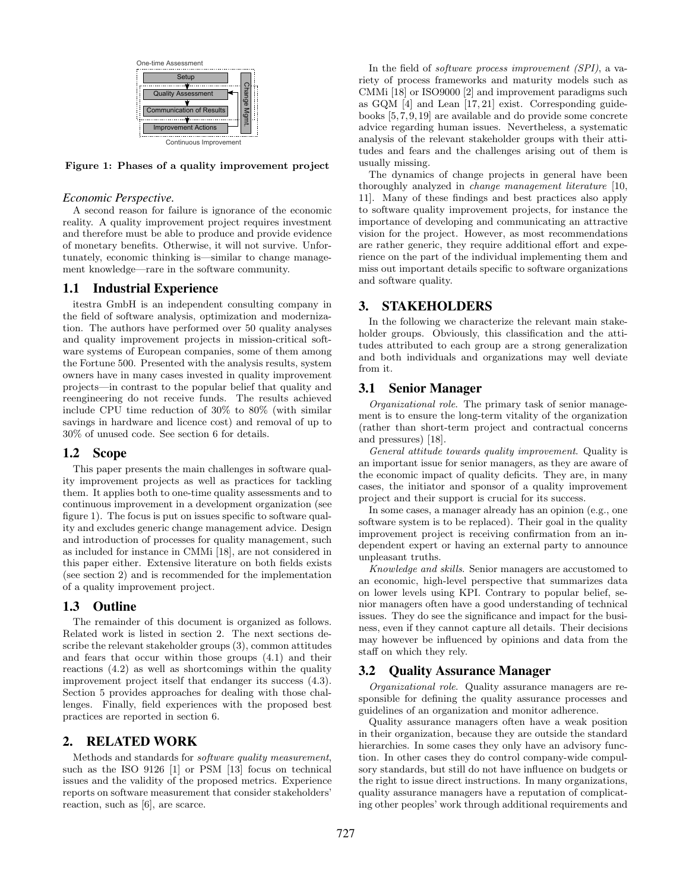

Figure 1: Phases of a quality improvement project

#### *Economic Perspective.*

A second reason for failure is ignorance of the economic reality. A quality improvement project requires investment and therefore must be able to produce and provide evidence of monetary benefits. Otherwise, it will not survive. Unfortunately, economic thinking is—similar to change management knowledge—rare in the software community.

#### 1.1 Industrial Experience

itestra GmbH is an independent consulting company in the field of software analysis, optimization and modernization. The authors have performed over 50 quality analyses and quality improvement projects in mission-critical software systems of European companies, some of them among the Fortune 500. Presented with the analysis results, system owners have in many cases invested in quality improvement projects—in contrast to the popular belief that quality and reengineering do not receive funds. The results achieved include CPU time reduction of 30% to 80% (with similar savings in hardware and licence cost) and removal of up to 30% of unused code. See section 6 for details.

#### 1.2 Scope

This paper presents the main challenges in software quality improvement projects as well as practices for tackling them. It applies both to one-time quality assessments and to continuous improvement in a development organization (see figure 1). The focus is put on issues specific to software quality and excludes generic change management advice. Design and introduction of processes for quality management, such as included for instance in CMMi [18], are not considered in this paper either. Extensive literature on both fields exists (see section 2) and is recommended for the implementation of a quality improvement project.

# 1.3 Outline

The remainder of this document is organized as follows. Related work is listed in section 2. The next sections describe the relevant stakeholder groups (3), common attitudes and fears that occur within those groups (4.1) and their reactions (4.2) as well as shortcomings within the quality improvement project itself that endanger its success (4.3). Section 5 provides approaches for dealing with those challenges. Finally, field experiences with the proposed best practices are reported in section 6.

## 2. RELATED WORK

Methods and standards for software quality measurement, such as the ISO 9126 [1] or PSM [13] focus on technical issues and the validity of the proposed metrics. Experience reports on software measurement that consider stakeholders' reaction, such as [6], are scarce.

In the field of *software process improvement (SPI)*, a variety of process frameworks and maturity models such as CMMi [18] or ISO9000 [2] and improvement paradigms such as GQM [4] and Lean [17, 21] exist. Corresponding guidebooks [5, 7, 9, 19] are available and do provide some concrete advice regarding human issues. Nevertheless, a systematic analysis of the relevant stakeholder groups with their attitudes and fears and the challenges arising out of them is usually missing.

The dynamics of change projects in general have been thoroughly analyzed in change management literature [10, 11]. Many of these findings and best practices also apply to software quality improvement projects, for instance the importance of developing and communicating an attractive vision for the project. However, as most recommendations are rather generic, they require additional effort and experience on the part of the individual implementing them and miss out important details specific to software organizations and software quality.

# 3. STAKEHOLDERS

In the following we characterize the relevant main stakeholder groups. Obviously, this classification and the attitudes attributed to each group are a strong generalization and both individuals and organizations may well deviate from it.

## 3.1 Senior Manager

Organizational role. The primary task of senior management is to ensure the long-term vitality of the organization (rather than short-term project and contractual concerns and pressures) [18].

General attitude towards quality improvement. Quality is an important issue for senior managers, as they are aware of the economic impact of quality deficits. They are, in many cases, the initiator and sponsor of a quality improvement project and their support is crucial for its success.

In some cases, a manager already has an opinion (e.g., one software system is to be replaced). Their goal in the quality improvement project is receiving confirmation from an independent expert or having an external party to announce unpleasant truths.

Knowledge and skills. Senior managers are accustomed to an economic, high-level perspective that summarizes data on lower levels using KPI. Contrary to popular belief, senior managers often have a good understanding of technical issues. They do see the significance and impact for the business, even if they cannot capture all details. Their decisions may however be influenced by opinions and data from the staff on which they rely.

## 3.2 Quality Assurance Manager

Organizational role. Quality assurance managers are responsible for defining the quality assurance processes and guidelines of an organization and monitor adherence.

Quality assurance managers often have a weak position in their organization, because they are outside the standard hierarchies. In some cases they only have an advisory function. In other cases they do control company-wide compulsory standards, but still do not have influence on budgets or the right to issue direct instructions. In many organizations, quality assurance managers have a reputation of complicating other peoples' work through additional requirements and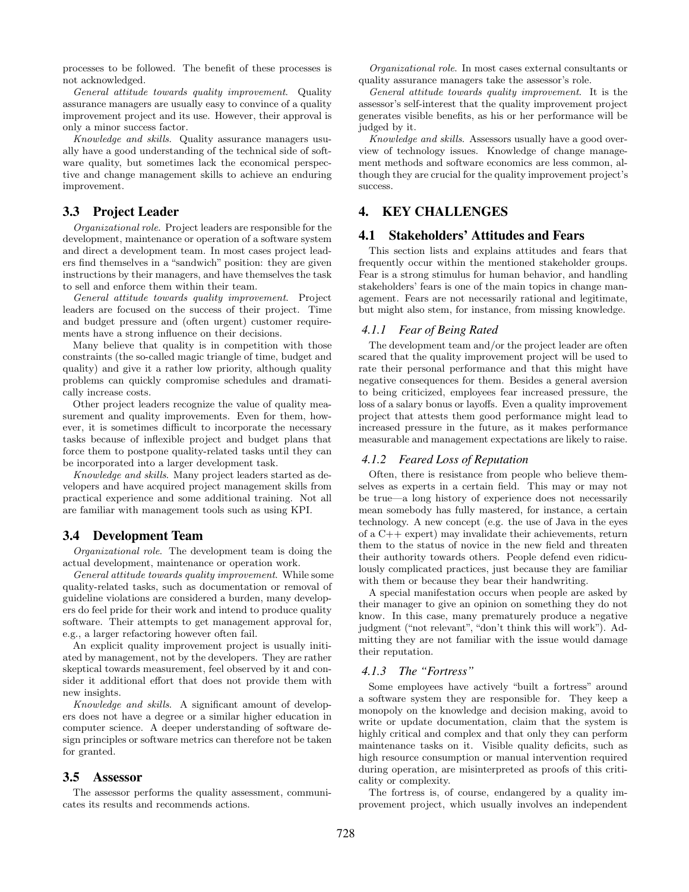processes to be followed. The benefit of these processes is not acknowledged.

General attitude towards quality improvement. Quality assurance managers are usually easy to convince of a quality improvement project and its use. However, their approval is only a minor success factor.

Knowledge and skills. Quality assurance managers usually have a good understanding of the technical side of software quality, but sometimes lack the economical perspective and change management skills to achieve an enduring improvement.

# 3.3 Project Leader

Organizational role. Project leaders are responsible for the development, maintenance or operation of a software system and direct a development team. In most cases project leaders find themselves in a "sandwich" position: they are given instructions by their managers, and have themselves the task to sell and enforce them within their team.

General attitude towards quality improvement. Project leaders are focused on the success of their project. Time and budget pressure and (often urgent) customer requirements have a strong influence on their decisions.

Many believe that quality is in competition with those constraints (the so-called magic triangle of time, budget and quality) and give it a rather low priority, although quality problems can quickly compromise schedules and dramatically increase costs.

Other project leaders recognize the value of quality measurement and quality improvements. Even for them, however, it is sometimes difficult to incorporate the necessary tasks because of inflexible project and budget plans that force them to postpone quality-related tasks until they can be incorporated into a larger development task.

Knowledge and skills. Many project leaders started as developers and have acquired project management skills from practical experience and some additional training. Not all are familiar with management tools such as using KPI.

# 3.4 Development Team

Organizational role. The development team is doing the actual development, maintenance or operation work.

General attitude towards quality improvement. While some quality-related tasks, such as documentation or removal of guideline violations are considered a burden, many developers do feel pride for their work and intend to produce quality software. Their attempts to get management approval for, e.g., a larger refactoring however often fail.

An explicit quality improvement project is usually initiated by management, not by the developers. They are rather skeptical towards measurement, feel observed by it and consider it additional effort that does not provide them with new insights.

Knowledge and skills. A significant amount of developers does not have a degree or a similar higher education in computer science. A deeper understanding of software design principles or software metrics can therefore not be taken for granted.

## 3.5 Assessor

The assessor performs the quality assessment, communicates its results and recommends actions.

Organizational role. In most cases external consultants or quality assurance managers take the assessor's role.

General attitude towards quality improvement. It is the assessor's self-interest that the quality improvement project generates visible benefits, as his or her performance will be judged by it.

Knowledge and skills. Assessors usually have a good overview of technology issues. Knowledge of change management methods and software economics are less common, although they are crucial for the quality improvement project's success.

# 4. KEY CHALLENGES

# 4.1 Stakeholders' Attitudes and Fears

This section lists and explains attitudes and fears that frequently occur within the mentioned stakeholder groups. Fear is a strong stimulus for human behavior, and handling stakeholders' fears is one of the main topics in change management. Fears are not necessarily rational and legitimate, but might also stem, for instance, from missing knowledge.

#### *4.1.1 Fear of Being Rated*

The development team and/or the project leader are often scared that the quality improvement project will be used to rate their personal performance and that this might have negative consequences for them. Besides a general aversion to being criticized, employees fear increased pressure, the loss of a salary bonus or layoffs. Even a quality improvement project that attests them good performance might lead to increased pressure in the future, as it makes performance measurable and management expectations are likely to raise.

## *4.1.2 Feared Loss of Reputation*

Often, there is resistance from people who believe themselves as experts in a certain field. This may or may not be true—a long history of experience does not necessarily mean somebody has fully mastered, for instance, a certain technology. A new concept (e.g. the use of Java in the eyes of a C++ expert) may invalidate their achievements, return them to the status of novice in the new field and threaten their authority towards others. People defend even ridiculously complicated practices, just because they are familiar with them or because they bear their handwriting.

A special manifestation occurs when people are asked by their manager to give an opinion on something they do not know. In this case, many prematurely produce a negative judgment ("not relevant", "don't think this will work"). Admitting they are not familiar with the issue would damage their reputation.

## *4.1.3 The "Fortress"*

Some employees have actively "built a fortress" around a software system they are responsible for. They keep a monopoly on the knowledge and decision making, avoid to write or update documentation, claim that the system is highly critical and complex and that only they can perform maintenance tasks on it. Visible quality deficits, such as high resource consumption or manual intervention required during operation, are misinterpreted as proofs of this criticality or complexity.

The fortress is, of course, endangered by a quality improvement project, which usually involves an independent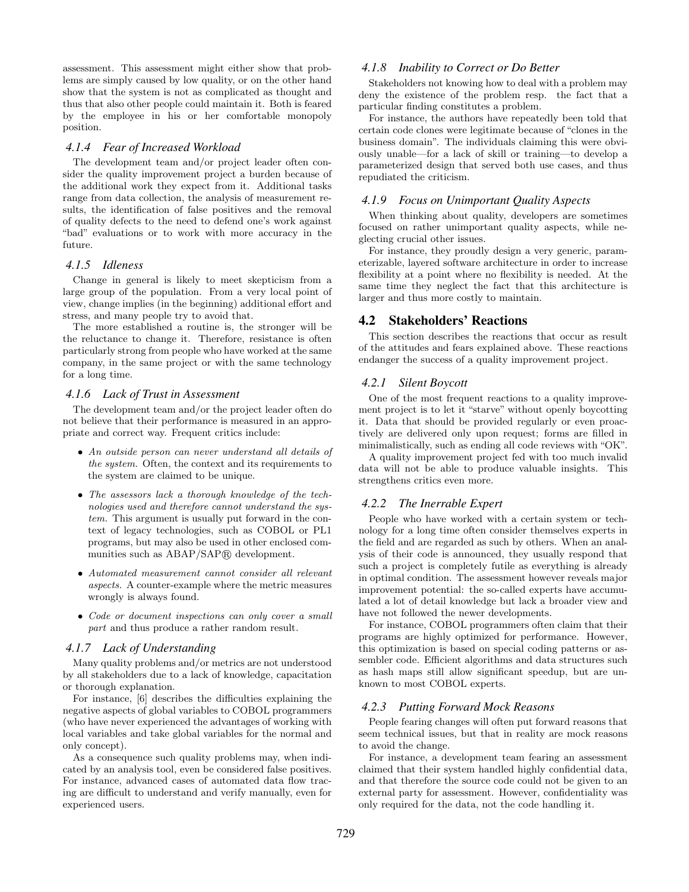assessment. This assessment might either show that problems are simply caused by low quality, or on the other hand show that the system is not as complicated as thought and thus that also other people could maintain it. Both is feared by the employee in his or her comfortable monopoly position.

#### *4.1.4 Fear of Increased Workload*

The development team and/or project leader often consider the quality improvement project a burden because of the additional work they expect from it. Additional tasks range from data collection, the analysis of measurement results, the identification of false positives and the removal of quality defects to the need to defend one's work against "bad" evaluations or to work with more accuracy in the future.

#### *4.1.5 Idleness*

Change in general is likely to meet skepticism from a large group of the population. From a very local point of view, change implies (in the beginning) additional effort and stress, and many people try to avoid that.

The more established a routine is, the stronger will be the reluctance to change it. Therefore, resistance is often particularly strong from people who have worked at the same company, in the same project or with the same technology for a long time.

#### *4.1.6 Lack of Trust in Assessment*

The development team and/or the project leader often do not believe that their performance is measured in an appropriate and correct way. Frequent critics include:

- An outside person can never understand all details of the system. Often, the context and its requirements to the system are claimed to be unique.
- The assessors lack a thorough knowledge of the technologies used and therefore cannot understand the system. This argument is usually put forward in the context of legacy technologies, such as COBOL or PL1 programs, but may also be used in other enclosed communities such as ABAP/SAP <sup>R</sup> development.
- Automated measurement cannot consider all relevant aspects. A counter-example where the metric measures wrongly is always found.
- Code or document inspections can only cover a small part and thus produce a rather random result.

## *4.1.7 Lack of Understanding*

Many quality problems and/or metrics are not understood by all stakeholders due to a lack of knowledge, capacitation or thorough explanation.

For instance, [6] describes the difficulties explaining the negative aspects of global variables to COBOL programmers (who have never experienced the advantages of working with local variables and take global variables for the normal and only concept).

As a consequence such quality problems may, when indicated by an analysis tool, even be considered false positives. For instance, advanced cases of automated data flow tracing are difficult to understand and verify manually, even for experienced users.

## *4.1.8 Inability to Correct or Do Better*

Stakeholders not knowing how to deal with a problem may deny the existence of the problem resp. the fact that a particular finding constitutes a problem.

For instance, the authors have repeatedly been told that certain code clones were legitimate because of "clones in the business domain". The individuals claiming this were obviously unable—for a lack of skill or training—to develop a parameterized design that served both use cases, and thus repudiated the criticism.

## *4.1.9 Focus on Unimportant Quality Aspects*

When thinking about quality, developers are sometimes focused on rather unimportant quality aspects, while neglecting crucial other issues.

For instance, they proudly design a very generic, parameterizable, layered software architecture in order to increase flexibility at a point where no flexibility is needed. At the same time they neglect the fact that this architecture is larger and thus more costly to maintain.

## 4.2 Stakeholders' Reactions

This section describes the reactions that occur as result of the attitudes and fears explained above. These reactions endanger the success of a quality improvement project.

#### *4.2.1 Silent Boycott*

One of the most frequent reactions to a quality improvement project is to let it "starve" without openly boycotting it. Data that should be provided regularly or even proactively are delivered only upon request; forms are filled in minimalistically, such as ending all code reviews with "OK".

A quality improvement project fed with too much invalid data will not be able to produce valuable insights. This strengthens critics even more.

## *4.2.2 The Inerrable Expert*

People who have worked with a certain system or technology for a long time often consider themselves experts in the field and are regarded as such by others. When an analysis of their code is announced, they usually respond that such a project is completely futile as everything is already in optimal condition. The assessment however reveals major improvement potential: the so-called experts have accumulated a lot of detail knowledge but lack a broader view and have not followed the newer developments.

For instance, COBOL programmers often claim that their programs are highly optimized for performance. However, this optimization is based on special coding patterns or assembler code. Efficient algorithms and data structures such as hash maps still allow significant speedup, but are unknown to most COBOL experts.

#### *4.2.3 Putting Forward Mock Reasons*

People fearing changes will often put forward reasons that seem technical issues, but that in reality are mock reasons to avoid the change.

For instance, a development team fearing an assessment claimed that their system handled highly confidential data, and that therefore the source code could not be given to an external party for assessment. However, confidentiality was only required for the data, not the code handling it.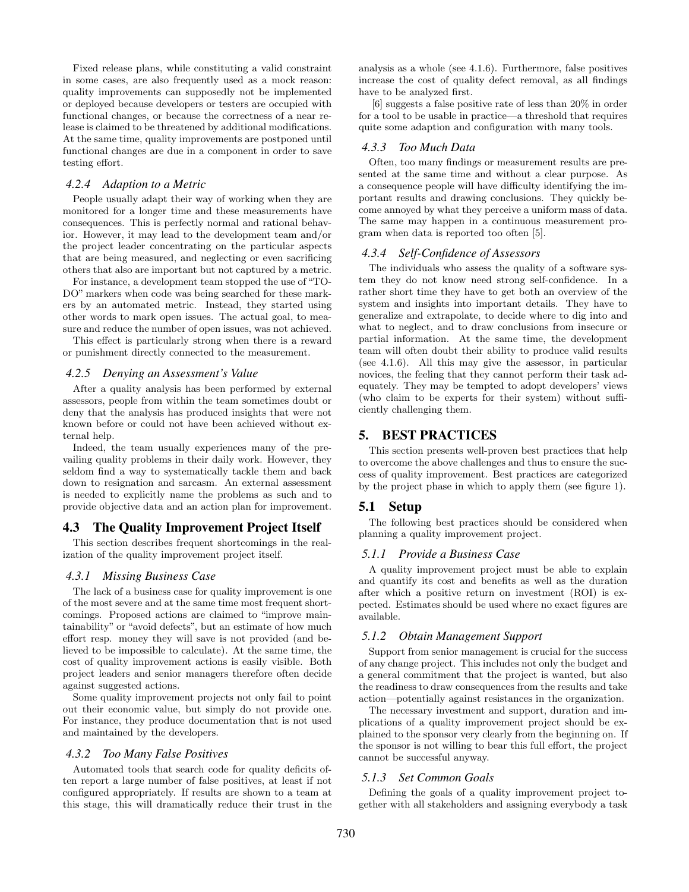Fixed release plans, while constituting a valid constraint in some cases, are also frequently used as a mock reason: quality improvements can supposedly not be implemented or deployed because developers or testers are occupied with functional changes, or because the correctness of a near release is claimed to be threatened by additional modifications. At the same time, quality improvements are postponed until functional changes are due in a component in order to save testing effort.

#### *4.2.4 Adaption to a Metric*

People usually adapt their way of working when they are monitored for a longer time and these measurements have consequences. This is perfectly normal and rational behavior. However, it may lead to the development team and/or the project leader concentrating on the particular aspects that are being measured, and neglecting or even sacrificing others that also are important but not captured by a metric.

For instance, a development team stopped the use of "TO-DO" markers when code was being searched for these markers by an automated metric. Instead, they started using other words to mark open issues. The actual goal, to measure and reduce the number of open issues, was not achieved.

This effect is particularly strong when there is a reward or punishment directly connected to the measurement.

#### *4.2.5 Denying an Assessment's Value*

After a quality analysis has been performed by external assessors, people from within the team sometimes doubt or deny that the analysis has produced insights that were not known before or could not have been achieved without external help.

Indeed, the team usually experiences many of the prevailing quality problems in their daily work. However, they seldom find a way to systematically tackle them and back down to resignation and sarcasm. An external assessment is needed to explicitly name the problems as such and to provide objective data and an action plan for improvement.

## 4.3 The Quality Improvement Project Itself

This section describes frequent shortcomings in the realization of the quality improvement project itself.

## *4.3.1 Missing Business Case*

The lack of a business case for quality improvement is one of the most severe and at the same time most frequent shortcomings. Proposed actions are claimed to "improve maintainability" or "avoid defects", but an estimate of how much effort resp. money they will save is not provided (and believed to be impossible to calculate). At the same time, the cost of quality improvement actions is easily visible. Both project leaders and senior managers therefore often decide against suggested actions.

Some quality improvement projects not only fail to point out their economic value, but simply do not provide one. For instance, they produce documentation that is not used and maintained by the developers.

#### *4.3.2 Too Many False Positives*

Automated tools that search code for quality deficits often report a large number of false positives, at least if not configured appropriately. If results are shown to a team at this stage, this will dramatically reduce their trust in the analysis as a whole (see 4.1.6). Furthermore, false positives increase the cost of quality defect removal, as all findings have to be analyzed first.

[6] suggests a false positive rate of less than 20% in order for a tool to be usable in practice—a threshold that requires quite some adaption and configuration with many tools.

#### *4.3.3 Too Much Data*

Often, too many findings or measurement results are presented at the same time and without a clear purpose. As a consequence people will have difficulty identifying the important results and drawing conclusions. They quickly become annoyed by what they perceive a uniform mass of data. The same may happen in a continuous measurement program when data is reported too often [5].

## *4.3.4 Self-Confidence of Assessors*

The individuals who assess the quality of a software system they do not know need strong self-confidence. In a rather short time they have to get both an overview of the system and insights into important details. They have to generalize and extrapolate, to decide where to dig into and what to neglect, and to draw conclusions from insecure or partial information. At the same time, the development team will often doubt their ability to produce valid results (see 4.1.6). All this may give the assessor, in particular novices, the feeling that they cannot perform their task adequately. They may be tempted to adopt developers' views (who claim to be experts for their system) without sufficiently challenging them.

## 5. BEST PRACTICES

This section presents well-proven best practices that help to overcome the above challenges and thus to ensure the success of quality improvement. Best practices are categorized by the project phase in which to apply them (see figure 1).

## 5.1 Setup

The following best practices should be considered when planning a quality improvement project.

## *5.1.1 Provide a Business Case*

A quality improvement project must be able to explain and quantify its cost and benefits as well as the duration after which a positive return on investment (ROI) is expected. Estimates should be used where no exact figures are available.

# *5.1.2 Obtain Management Support*

Support from senior management is crucial for the success of any change project. This includes not only the budget and a general commitment that the project is wanted, but also the readiness to draw consequences from the results and take action—potentially against resistances in the organization.

The necessary investment and support, duration and implications of a quality improvement project should be explained to the sponsor very clearly from the beginning on. If the sponsor is not willing to bear this full effort, the project cannot be successful anyway.

#### *5.1.3 Set Common Goals*

Defining the goals of a quality improvement project together with all stakeholders and assigning everybody a task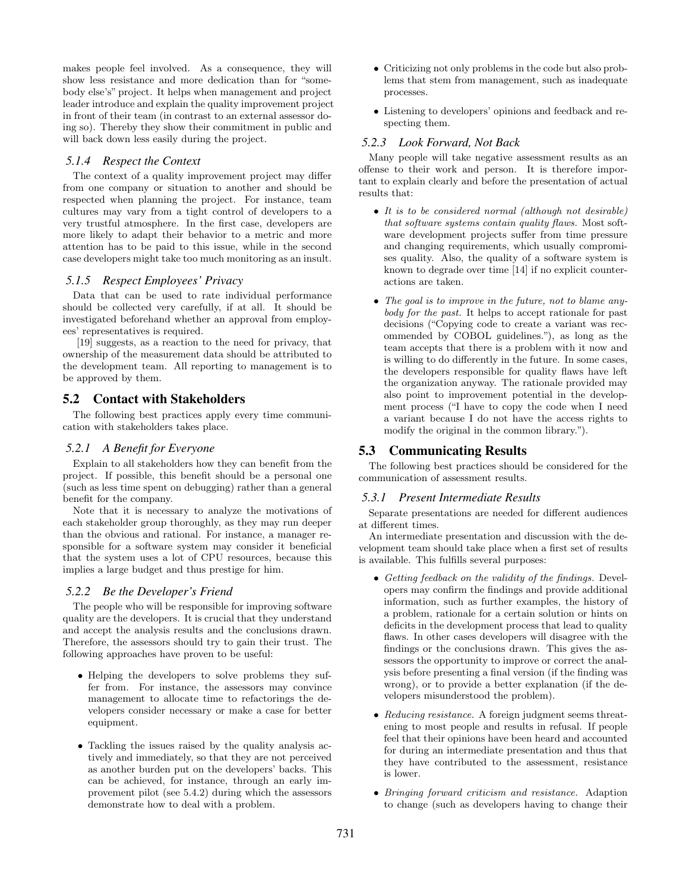makes people feel involved. As a consequence, they will show less resistance and more dedication than for "somebody else's" project. It helps when management and project leader introduce and explain the quality improvement project in front of their team (in contrast to an external assessor doing so). Thereby they show their commitment in public and will back down less easily during the project.

## *5.1.4 Respect the Context*

The context of a quality improvement project may differ from one company or situation to another and should be respected when planning the project. For instance, team cultures may vary from a tight control of developers to a very trustful atmosphere. In the first case, developers are more likely to adapt their behavior to a metric and more attention has to be paid to this issue, while in the second case developers might take too much monitoring as an insult.

# *5.1.5 Respect Employees' Privacy*

Data that can be used to rate individual performance should be collected very carefully, if at all. It should be investigated beforehand whether an approval from employees' representatives is required.

[19] suggests, as a reaction to the need for privacy, that ownership of the measurement data should be attributed to the development team. All reporting to management is to be approved by them.

# 5.2 Contact with Stakeholders

The following best practices apply every time communication with stakeholders takes place.

## *5.2.1 A Benefit for Everyone*

Explain to all stakeholders how they can benefit from the project. If possible, this benefit should be a personal one (such as less time spent on debugging) rather than a general benefit for the company.

Note that it is necessary to analyze the motivations of each stakeholder group thoroughly, as they may run deeper than the obvious and rational. For instance, a manager responsible for a software system may consider it beneficial that the system uses a lot of CPU resources, because this implies a large budget and thus prestige for him.

# *5.2.2 Be the Developer's Friend*

The people who will be responsible for improving software quality are the developers. It is crucial that they understand and accept the analysis results and the conclusions drawn. Therefore, the assessors should try to gain their trust. The following approaches have proven to be useful:

- Helping the developers to solve problems they suffer from. For instance, the assessors may convince management to allocate time to refactorings the developers consider necessary or make a case for better equipment.
- Tackling the issues raised by the quality analysis actively and immediately, so that they are not perceived as another burden put on the developers' backs. This can be achieved, for instance, through an early improvement pilot (see 5.4.2) during which the assessors demonstrate how to deal with a problem.
- Criticizing not only problems in the code but also problems that stem from management, such as inadequate processes.
- Listening to developers' opinions and feedback and respecting them.

# *5.2.3 Look Forward, Not Back*

Many people will take negative assessment results as an offense to their work and person. It is therefore important to explain clearly and before the presentation of actual results that:

- It is to be considered normal (although not desirable) that software systems contain quality flaws. Most software development projects suffer from time pressure and changing requirements, which usually compromises quality. Also, the quality of a software system is known to degrade over time [14] if no explicit counteractions are taken.
- The goal is to improve in the future, not to blame anybody for the past. It helps to accept rationale for past decisions ("Copying code to create a variant was recommended by COBOL guidelines."), as long as the team accepts that there is a problem with it now and is willing to do differently in the future. In some cases, the developers responsible for quality flaws have left the organization anyway. The rationale provided may also point to improvement potential in the development process ("I have to copy the code when I need a variant because I do not have the access rights to modify the original in the common library.").

# 5.3 Communicating Results

The following best practices should be considered for the communication of assessment results.

# *5.3.1 Present Intermediate Results*

Separate presentations are needed for different audiences at different times.

An intermediate presentation and discussion with the development team should take place when a first set of results is available. This fulfills several purposes:

- Getting feedback on the validity of the findings. Developers may confirm the findings and provide additional information, such as further examples, the history of a problem, rationale for a certain solution or hints on deficits in the development process that lead to quality flaws. In other cases developers will disagree with the findings or the conclusions drawn. This gives the assessors the opportunity to improve or correct the analysis before presenting a final version (if the finding was wrong), or to provide a better explanation (if the developers misunderstood the problem).
- Reducing resistance. A foreign judgment seems threatening to most people and results in refusal. If people feel that their opinions have been heard and accounted for during an intermediate presentation and thus that they have contributed to the assessment, resistance is lower.
- Bringing forward criticism and resistance. Adaption to change (such as developers having to change their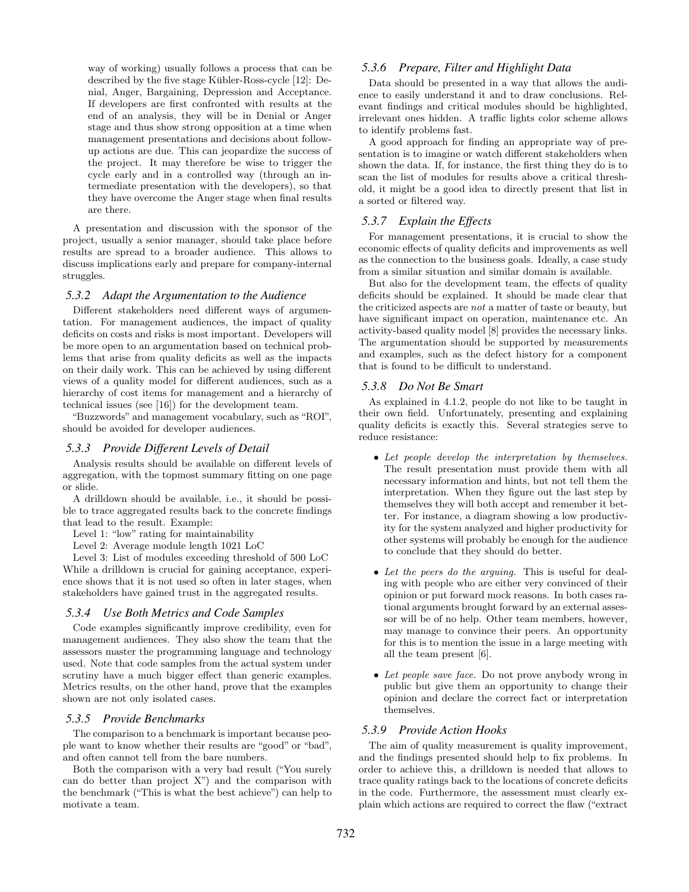way of working) usually follows a process that can be described by the five stage Kübler-Ross-cycle  $[12]$ : Denial, Anger, Bargaining, Depression and Acceptance. If developers are first confronted with results at the end of an analysis, they will be in Denial or Anger stage and thus show strong opposition at a time when management presentations and decisions about followup actions are due. This can jeopardize the success of the project. It may therefore be wise to trigger the cycle early and in a controlled way (through an intermediate presentation with the developers), so that they have overcome the Anger stage when final results are there.

A presentation and discussion with the sponsor of the project, usually a senior manager, should take place before results are spread to a broader audience. This allows to discuss implications early and prepare for company-internal struggles.

#### *5.3.2 Adapt the Argumentation to the Audience*

Different stakeholders need different ways of argumentation. For management audiences, the impact of quality deficits on costs and risks is most important. Developers will be more open to an argumentation based on technical problems that arise from quality deficits as well as the impacts on their daily work. This can be achieved by using different views of a quality model for different audiences, such as a hierarchy of cost items for management and a hierarchy of technical issues (see [16]) for the development team.

"Buzzwords" and management vocabulary, such as "ROI", should be avoided for developer audiences.

#### *5.3.3 Provide Different Levels of Detail*

Analysis results should be available on different levels of aggregation, with the topmost summary fitting on one page or slide.

A drilldown should be available, i.e., it should be possible to trace aggregated results back to the concrete findings that lead to the result. Example:

Level 1: "low" rating for maintainability

Level 2: Average module length 1021 LoC

Level 3: List of modules exceeding threshold of 500 LoC While a drilldown is crucial for gaining acceptance, experience shows that it is not used so often in later stages, when stakeholders have gained trust in the aggregated results.

## *5.3.4 Use Both Metrics and Code Samples*

Code examples significantly improve credibility, even for management audiences. They also show the team that the assessors master the programming language and technology used. Note that code samples from the actual system under scrutiny have a much bigger effect than generic examples. Metrics results, on the other hand, prove that the examples shown are not only isolated cases.

## *5.3.5 Provide Benchmarks*

The comparison to a benchmark is important because people want to know whether their results are "good" or "bad", and often cannot tell from the bare numbers.

Both the comparison with a very bad result ("You surely can do better than project X") and the comparison with the benchmark ("This is what the best achieve") can help to motivate a team.

## *5.3.6 Prepare, Filter and Highlight Data*

Data should be presented in a way that allows the audience to easily understand it and to draw conclusions. Relevant findings and critical modules should be highlighted, irrelevant ones hidden. A traffic lights color scheme allows to identify problems fast.

A good approach for finding an appropriate way of presentation is to imagine or watch different stakeholders when shown the data. If, for instance, the first thing they do is to scan the list of modules for results above a critical threshold, it might be a good idea to directly present that list in a sorted or filtered way.

#### *5.3.7 Explain the Effects*

For management presentations, it is crucial to show the economic effects of quality deficits and improvements as well as the connection to the business goals. Ideally, a case study from a similar situation and similar domain is available.

But also for the development team, the effects of quality deficits should be explained. It should be made clear that the criticized aspects are not a matter of taste or beauty, but have significant impact on operation, maintenance etc. An activity-based quality model [8] provides the necessary links. The argumentation should be supported by measurements and examples, such as the defect history for a component that is found to be difficult to understand.

#### *5.3.8 Do Not Be Smart*

As explained in 4.1.2, people do not like to be taught in their own field. Unfortunately, presenting and explaining quality deficits is exactly this. Several strategies serve to reduce resistance:

- Let people develop the interpretation by themselves. The result presentation must provide them with all necessary information and hints, but not tell them the interpretation. When they figure out the last step by themselves they will both accept and remember it better. For instance, a diagram showing a low productivity for the system analyzed and higher productivity for other systems will probably be enough for the audience to conclude that they should do better.
- Let the peers do the arguing. This is useful for dealing with people who are either very convinced of their opinion or put forward mock reasons. In both cases rational arguments brought forward by an external assessor will be of no help. Other team members, however, may manage to convince their peers. An opportunity for this is to mention the issue in a large meeting with all the team present [6].
- Let people save face. Do not prove anybody wrong in public but give them an opportunity to change their opinion and declare the correct fact or interpretation themselves.

#### *5.3.9 Provide Action Hooks*

The aim of quality measurement is quality improvement, and the findings presented should help to fix problems. In order to achieve this, a drilldown is needed that allows to trace quality ratings back to the locations of concrete deficits in the code. Furthermore, the assessment must clearly explain which actions are required to correct the flaw ("extract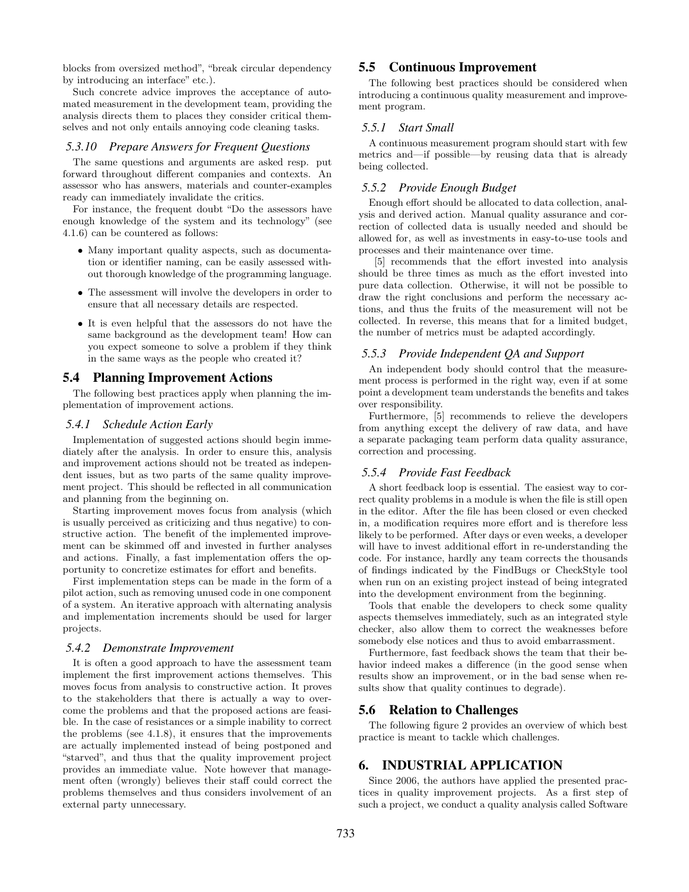blocks from oversized method", "break circular dependency by introducing an interface" etc.).

Such concrete advice improves the acceptance of automated measurement in the development team, providing the analysis directs them to places they consider critical themselves and not only entails annoying code cleaning tasks.

## *5.3.10 Prepare Answers for Frequent Questions*

The same questions and arguments are asked resp. put forward throughout different companies and contexts. An assessor who has answers, materials and counter-examples ready can immediately invalidate the critics.

For instance, the frequent doubt "Do the assessors have enough knowledge of the system and its technology" (see 4.1.6) can be countered as follows:

- Many important quality aspects, such as documentation or identifier naming, can be easily assessed without thorough knowledge of the programming language.
- The assessment will involve the developers in order to ensure that all necessary details are respected.
- It is even helpful that the assessors do not have the same background as the development team! How can you expect someone to solve a problem if they think in the same ways as the people who created it?

# 5.4 Planning Improvement Actions

The following best practices apply when planning the implementation of improvement actions.

#### *5.4.1 Schedule Action Early*

Implementation of suggested actions should begin immediately after the analysis. In order to ensure this, analysis and improvement actions should not be treated as independent issues, but as two parts of the same quality improvement project. This should be reflected in all communication and planning from the beginning on.

Starting improvement moves focus from analysis (which is usually perceived as criticizing and thus negative) to constructive action. The benefit of the implemented improvement can be skimmed off and invested in further analyses and actions. Finally, a fast implementation offers the opportunity to concretize estimates for effort and benefits.

First implementation steps can be made in the form of a pilot action, such as removing unused code in one component of a system. An iterative approach with alternating analysis and implementation increments should be used for larger projects.

#### *5.4.2 Demonstrate Improvement*

It is often a good approach to have the assessment team implement the first improvement actions themselves. This moves focus from analysis to constructive action. It proves to the stakeholders that there is actually a way to overcome the problems and that the proposed actions are feasible. In the case of resistances or a simple inability to correct the problems (see 4.1.8), it ensures that the improvements are actually implemented instead of being postponed and "starved", and thus that the quality improvement project provides an immediate value. Note however that management often (wrongly) believes their staff could correct the problems themselves and thus considers involvement of an external party unnecessary.

# 5.5 Continuous Improvement

The following best practices should be considered when introducing a continuous quality measurement and improvement program.

#### *5.5.1 Start Small*

A continuous measurement program should start with few metrics and—if possible—by reusing data that is already being collected.

## *5.5.2 Provide Enough Budget*

Enough effort should be allocated to data collection, analysis and derived action. Manual quality assurance and correction of collected data is usually needed and should be allowed for, as well as investments in easy-to-use tools and processes and their maintenance over time.

[5] recommends that the effort invested into analysis should be three times as much as the effort invested into pure data collection. Otherwise, it will not be possible to draw the right conclusions and perform the necessary actions, and thus the fruits of the measurement will not be collected. In reverse, this means that for a limited budget, the number of metrics must be adapted accordingly.

## *5.5.3 Provide Independent QA and Support*

An independent body should control that the measurement process is performed in the right way, even if at some point a development team understands the benefits and takes over responsibility.

Furthermore, [5] recommends to relieve the developers from anything except the delivery of raw data, and have a separate packaging team perform data quality assurance, correction and processing.

#### *5.5.4 Provide Fast Feedback*

A short feedback loop is essential. The easiest way to correct quality problems in a module is when the file is still open in the editor. After the file has been closed or even checked in, a modification requires more effort and is therefore less likely to be performed. After days or even weeks, a developer will have to invest additional effort in re-understanding the code. For instance, hardly any team corrects the thousands of findings indicated by the FindBugs or CheckStyle tool when run on an existing project instead of being integrated into the development environment from the beginning.

Tools that enable the developers to check some quality aspects themselves immediately, such as an integrated style checker, also allow them to correct the weaknesses before somebody else notices and thus to avoid embarrassment.

Furthermore, fast feedback shows the team that their behavior indeed makes a difference (in the good sense when results show an improvement, or in the bad sense when results show that quality continues to degrade).

#### 5.6 Relation to Challenges

The following figure 2 provides an overview of which best practice is meant to tackle which challenges.

## 6. INDUSTRIAL APPLICATION

Since 2006, the authors have applied the presented practices in quality improvement projects. As a first step of such a project, we conduct a quality analysis called Software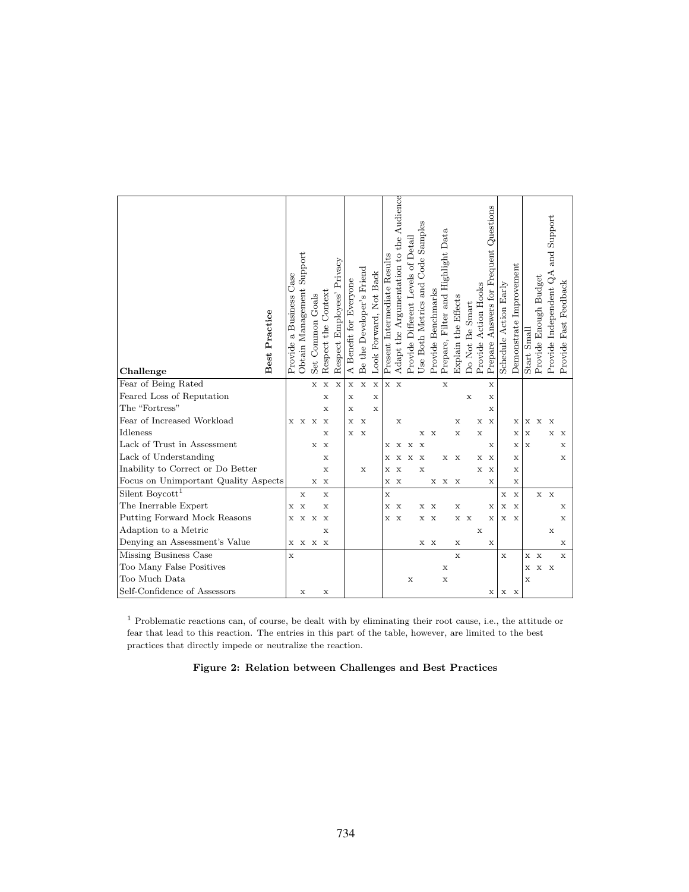| Practice<br>Best<br>Challenge        | Case<br><b>Business</b><br>$\mathfrak{a}$<br>Provide | Support<br>Obtain Management | Goals<br>Set Common | Respect the Context | Respect Employees' Privacy | Benefit for Everyone<br>₹ | Be the Developer's Friend | Look Forward, Not Back | Present Intermediate Results | Adapt the Argumentation to the Audience | Provide Different Levels of Detail | Code Samples<br>Use Both Metrics and | Benchmarks<br>Provide | and Highlight Data<br>Filter<br>Prepare, | Explain the Effects | $snart$<br>Be<br>Do Not | Provide Action Hooks | Questions<br>Answers for Frequent<br>Prepare | Schedule Action Early | Demonstrate Improvement | Start Small | Provide Enough Budget | and Support<br>Provide Independent QA | Fast Feedback<br>Provide |
|--------------------------------------|------------------------------------------------------|------------------------------|---------------------|---------------------|----------------------------|---------------------------|---------------------------|------------------------|------------------------------|-----------------------------------------|------------------------------------|--------------------------------------|-----------------------|------------------------------------------|---------------------|-------------------------|----------------------|----------------------------------------------|-----------------------|-------------------------|-------------|-----------------------|---------------------------------------|--------------------------|
| Fear of Being Rated                  |                                                      |                              |                     | $X$ X               | $\mathbf{x}$               | $\mathbf x$               | $\mathbf{x}$              | $\mathbf x$            | $X - X$                      |                                         |                                    |                                      |                       | X                                        |                     |                         |                      | X                                            |                       |                         |             |                       |                                       |                          |
| Feared Loss of Reputation            |                                                      |                              |                     | $\mathbf x$         |                            | $\mathbf x$               |                           | $\mathbf x$            |                              |                                         |                                    |                                      |                       |                                          |                     | $\mathbf x$             |                      | X                                            |                       |                         |             |                       |                                       |                          |
| The "Fortress"                       |                                                      |                              |                     | $\mathbf x$         |                            | $\mathbf x$               |                           | $\mathbf x$            |                              |                                         |                                    |                                      |                       |                                          |                     |                         |                      | X                                            |                       |                         |             |                       |                                       |                          |
| Fear of Increased Workload           | $X$ $X$ $X$                                          |                              |                     | $\mathbf{x}$        |                            | $\mathbf x$               | $\mathbf x$               |                        |                              | $\mathbf x$                             |                                    |                                      |                       |                                          | X                   |                         | X                    | $\mathbf{x}$                                 |                       | X                       | X X         |                       | $\mathbf{x}$                          |                          |
| Idleness                             |                                                      |                              |                     | $\mathbf x$         |                            | $\mathbf{x}$              | $\mathbf{x}$              |                        |                              |                                         |                                    | x x                                  |                       |                                          | $\mathbf x$         |                         | $\mathbf x$          |                                              |                       | $\mathbf x$             | $\mathbf x$ |                       | X X                                   |                          |
| Lack of Trust in Assessment          |                                                      |                              | X X                 |                     |                            |                           |                           |                        |                              | x x x                                   |                                    | $\mathbf{x}$                         |                       |                                          |                     |                         |                      | X                                            |                       | Х                       | X           |                       |                                       | X                        |
| Lack of Understanding                |                                                      |                              |                     | X                   |                            |                           |                           |                        | X                            | $\mathbf{x}$                            | x x                                |                                      |                       | X                                        | $\mathbf x$         |                         | X                    | $\mathbf{x}$                                 |                       | X                       |             |                       |                                       | X                        |
| Inability to Correct or Do Better    |                                                      |                              |                     | $\mathbf x$         |                            |                           | $\mathbf x$               |                        | X X                          |                                         |                                    | X                                    |                       |                                          |                     |                         | X X                  |                                              |                       | X                       |             |                       |                                       |                          |
| Focus on Unimportant Quality Aspects |                                                      |                              | X X                 |                     |                            |                           |                           |                        | X X                          |                                         |                                    |                                      | x x x                 |                                          |                     |                         |                      | X                                            |                       | X                       |             |                       |                                       |                          |
| Silent Boycott <sup>1</sup>          |                                                      | $\mathbf x$                  |                     | $\mathbf x$         |                            |                           |                           |                        | $\mathbf x$                  |                                         |                                    |                                      |                       |                                          |                     |                         |                      |                                              | X                     | $\mathbf x$             |             | $X$ $X$               |                                       |                          |
| The Inerrable Expert                 | X X                                                  |                              |                     | $\mathbf x$         |                            |                           |                           |                        | X X                          |                                         |                                    | X X                                  |                       |                                          | х                   |                         |                      | X                                            | Х                     | $\mathbf x$             |             |                       |                                       | х                        |
| Putting Forward Mock Reasons         | X X X                                                |                              |                     | $\mathbf{x}$        |                            |                           |                           |                        | X X                          |                                         |                                    | $X$ $X$                              |                       |                                          | X X                 |                         |                      | X                                            |                       | x x                     |             |                       |                                       | X                        |
| Adaption to a Metric                 |                                                      |                              |                     | X                   |                            |                           |                           |                        |                              |                                         |                                    |                                      |                       |                                          |                     |                         | $\mathbf x$          |                                              |                       |                         |             |                       | $\mathbf x$                           |                          |
| Denying an Assessment's Value        | X X X X                                              |                              |                     |                     |                            |                           |                           |                        |                              |                                         |                                    | x x                                  |                       |                                          | х                   |                         |                      | $\mathbf x$                                  |                       |                         |             |                       |                                       | X                        |
| Missing Business Case                | $\mathbf{x}$                                         |                              |                     |                     |                            |                           |                           |                        |                              |                                         |                                    |                                      |                       |                                          | $\mathbf x$         |                         |                      |                                              | X                     |                         |             | X X                   |                                       | $\mathbf{x}$             |
| Too Many False Positives             |                                                      |                              |                     |                     |                            |                           |                           |                        |                              |                                         |                                    |                                      |                       | $\mathbf x$                              |                     |                         |                      |                                              |                       |                         |             | x x x                 |                                       |                          |
| Too Much Data                        |                                                      |                              |                     |                     |                            |                           |                           |                        |                              |                                         | X                                  |                                      |                       | х                                        |                     |                         |                      |                                              |                       |                         | X           |                       |                                       |                          |
| Self-Confidence of Assessors         |                                                      | X                            |                     | $\mathbf x$         |                            |                           |                           |                        |                              |                                         |                                    |                                      |                       |                                          |                     |                         |                      | X                                            |                       | $X$ $X$                 |             |                       |                                       |                          |

<sup>1</sup> Problematic reactions can, of course, be dealt with by eliminating their root cause, i.e., the attitude or fear that lead to this reaction. The entries in this part of the table, however, are limited to the best practices that directly impede or neutralize the reaction.

Figure 2: Relation between Challenges and Best Practices